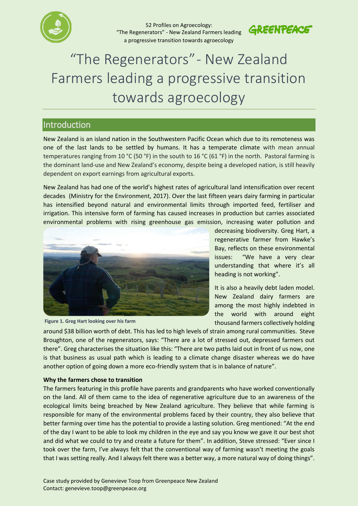

52 Profiles on Agroecology: "The Regenerators" - New Zealand Farmers leading a progressive transition towards agroecology



# "The Regenerators" - New Zealand Farmers leading a progressive transition towards agroecology

## Introduction

New Zealand is an island nation in the Southwestern Pacific Ocean which due to its remoteness was one of the last lands to be settled by humans. It has a temperate climate with mean annual temperatures ranging from 10 °C (50 °F) in the south to 16 °C (61 °F) in the north. Pastoral farming is the dominant land-use and New Zealand's economy, despite being a developed nation, is still heavily dependent on export earnings from agricultural exports.

New Zealand has had one of the world's highest rates of agricultural land intensification over recent decades (Ministry for the Environment, 2017). Over the last fifteen years dairy farming in particular has intensified beyond natural and environmental limits through imported feed, fertiliser and irrigation. This intensive form of farming has caused increases in production but carries associated environmental problems with rising greenhouse gas emission, increasing water pollution and





decreasing biodiversity. Greg Hart, a regenerative farmer from Hawke's Bay, reflects on these environmental issues: "We have a very clear understanding that where it's all heading is not working".

It is also a heavily debt laden model. New Zealand dairy farmers are among the most highly indebted in the world with around eight thousand farmers collectively holding

around \$38 billion worth of debt. This has led to high levels of strain among rural communities. Steve Broughton, one of the regenerators, says: "There are a lot of stressed out, depressed farmers out there". Greg characterises the situation like this: "There are two paths laid out in front of us now, one is that business as usual path which is leading to a climate change disaster whereas we do have another option of going down a more eco-friendly system that is in balance of nature".

#### **Why the farmers chose to transition**

The farmers featuring in this profile have parents and grandparents who have worked conventionally on the land. All of them came to the idea of regenerative agriculture due to an awareness of the ecological limits being breached by New Zealand agriculture. They believe that while farming is responsible for many of the environmental problems faced by their country, they also believe that better farming over time has the potential to provide a lasting solution. Greg mentioned: "At the end of the day I want to be able to look my children in the eye and say you know we gave it our best shot and did what we could to try and create a future for them". In addition, Steve stressed: "Ever since I took over the farm, I've always felt that the conventional way of farming wasn't meeting the goals that I was setting really. And I always felt there was a better way, a more natural way of doing things".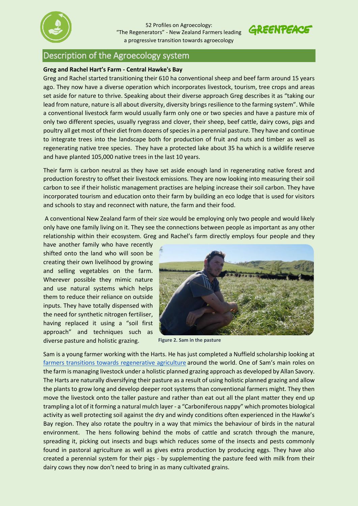



### Description of the Agroecology system

#### **Greg and Rachel Hart's Farm - Central Hawke's Bay**

Greg and Rachel started transitioning their 610 ha conventional sheep and beef farm around 15 years ago. They now have a diverse operation which incorporates livestock, tourism, tree crops and areas set aside for nature to thrive. Speaking about their diverse approach Greg describes it as "taking our lead from nature, nature is all about diversity, diversity brings resilience to the farming system". While a conventional livestock farm would usually farm only one or two species and have a pasture mix of only two different species, usually ryegrass and clover, their sheep, beef cattle, dairy cows, pigs and poultry all get most of their diet from dozens of species in a perennial pasture. They have and continue to integrate trees into the landscape both for production of fruit and nuts and timber as well as regenerating native tree species. They have a protected lake about 35 ha which is a wildlife reserve and have planted 105,000 native trees in the last 10 years.

Their farm is carbon neutral as they have set aside enough land in regenerating native forest and production forestry to offset their livestock emissions. They are now looking into measuring their soil carbon to see if their holistic management practises are helping increase their soil carbon. They have incorporated tourism and education onto their farm by building an eco lodge that is used for visitors and schools to stay and reconnect with nature, the farm and their food.

A conventional New Zealand farm of their size would be employing only two people and would likely only have one family living on it. They see the connections between people as important as any other relationship within their ecosystem. Greg and Rachel's farm directly employs four people and they

have another family who have recently shifted onto the land who will soon be creating their own livelihood by growing and selling vegetables on the farm. Wherever possible they mimic nature and use natural systems which helps them to reduce their reliance on outside inputs. They have totally dispensed with the need for synthetic nitrogen fertiliser, having replaced it using a "soil first approach" and techniques such as diverse pasture and holistic grazing.



**Figure 2. Sam in the pasture**

Sam is a young farmer working with the Harts. He has just completed a Nuffield scholarship looking at [farmers transitions towards regenerative agriculture](https://www.nuffield.org.nz/projects/detail/?tx_ttnews%5Btt_news%5D=93&cHash=37c8f1779e2da70d0c96f271c531a2ad) around the world. One of Sam's main roles on the farm is managing livestock under a holistic planned grazing approach as developed by Allan Savory. The Harts are naturally diversifying their pasture as a result of using holistic planned grazing and allow the plants to grow long and develop deeper root systems than conventional farmers might. They then move the livestock onto the taller pasture and rather than eat out all the plant matter they end up trampling a lot of it forming a natural mulch layer - a "Carboniferous nappy" which promotes biological activity as well protecting soil against the dry and windy conditions often experienced in the Hawke's Bay region. They also rotate the poultry in a way that mimics the behaviour of birds in the natural environment. The hens following behind the mobs of cattle and scratch through the manure, spreading it, picking out insects and bugs which reduces some of the insects and pests commonly found in pastoral agriculture as well as gives extra production by producing eggs. They have also created a perennial system for their pigs - by supplementing the pasture feed with milk from their dairy cows they now don't need to bring in as many cultivated grains.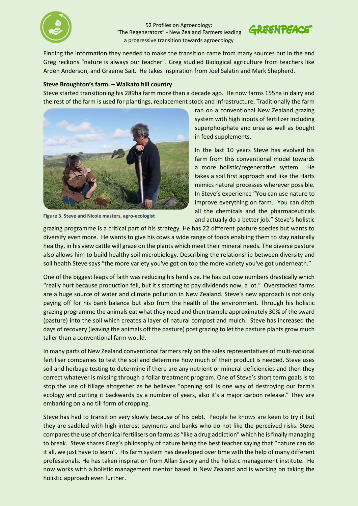

52 Profiles on Agroecology: "The Regenerators" - New Zealand Farmers leading a progressive transition towards agroecology



Finding the information they needed to make the transition came from many sources but in the end Greg reckons "nature is always our teacher". Greg studied Biological agriculture from teachers like Arden Anderson, and Graeme Sait. He takes inspiration from Joel Salatin and Mark Shepherd.

#### **Steve Broughton's farm. – Waikato hill country**

Steve started transitioning his 289ha farm more than a decade ago. He now farms 155ha in dairy and the rest of the farm is used for plantings, replacement stock and infrastructure. Traditionally the farm



**Figure 3. Steve and Nicole masters, agro-ecologist**

ran on a conventional New Zealand grazing system with high inputs of fertilizer including superphosphate and urea as well as bought in feed supplements.

In the last 10 years Steve has evolved his farm from this conventional model towards a more holistic/regenerative system. He takes a soil first approach and like the Harts mimics natural processes wherever possible. In Steve's experience "You can use nature to improve everything on farm. You can ditch all the chemicals and the pharmaceuticals and actually do a better job." Steve's holistic

grazing programme is a critical part of his strategy. He has 22 different pasture species but wants to diversify even more. He wants to give his cows a wide range of foods enabling them to stay naturally healthy, in his view cattle will graze on the plants which meet their mineral needs. The diverse pasture also allows him to build healthy soil microbiology. Describing the relationship between diversity and soil health Steve says "the more variety you've got on top the more variety you've got underneath."

One of the biggest leaps of faith was reducing his herd size. He has cut cow numbers drastically which "really hurt because production fell, but it's starting to pay dividends now, a lot." Overstocked farms are a huge source of water and climate pollution in New Zealand. Steve's new approach is not only paying off for his bank balance but also from the health of the environment. Through his holistic grazing programme the animals eat what they need and then trample approximately 30% of the sward (pasture) into the soil which creates a layer of natural compost and mulch. Steve has increased the days of recovery (leaving the animals off the pasture) post grazing to let the pasture plants grow much taller than a conventional farm would.

In many parts of New Zealand conventional farmers rely on the sales representatives of multi-national fertiliser companies to test the soil and determine how much of their product is needed. Steve uses soil and herbage testing to determine if there are any nutrient or mineral deficiencies and then they correct whatever is missing through a foliar treatment program. One of Steve's short term goals is to stop the use of tillage altogether as he believes "opening soil is one way of destroying our farm's ecology and putting it backwards by a number of years, also it's a major carbon release." They are embarking on a no till form of cropping.

Steve has had to transition very slowly because of his debt. People he knows are keen to try it but they are saddled with high interest payments and banks who do not like the perceived risks. Steve compares the use of chemical fertilisers on farms as "like a drug addiction" which he is finally managing to break. Steve shares Greg's philosophy of nature being the best teacher saying that "nature can do it all, we just have to learn". His farm system has developed over time with the help of many different professionals. He has taken inspiration from Allan Savory and the holistic management institute. He now works with a holistic management mentor based in New Zealand and is working on taking the holistic approach even further.